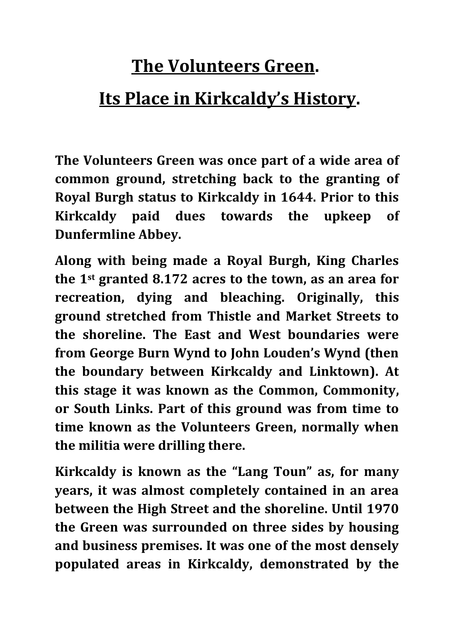# **The Volunteers Green.**

## **Its Place in Kirkcaldy's History.**

**The Volunteers Green was once part of a wide area of common ground, stretching back to the granting of Royal Burgh status to Kirkcaldy in 1644. Prior to this Kirkcaldy paid dues towards the upkeep of Dunfermline Abbey.**

**Along with being made a Royal Burgh, King Charles the 1st granted 8.172 acres to the town, as an area for recreation, dying and bleaching. Originally, this ground stretched from Thistle and Market Streets to the shoreline. The East and West boundaries were from George Burn Wynd to John Louden's Wynd (then the boundary between Kirkcaldy and Linktown). At this stage it was known as the Common, Commonity, or South Links. Part of this ground was from time to time known as the Volunteers Green, normally when the militia were drilling there.**

**Kirkcaldy is known as the "Lang Toun" as, for many years, it was almost completely contained in an area between the High Street and the shoreline. Until 1970 the Green was surrounded on three sides by housing and business premises. It was one of the most densely populated areas in Kirkcaldy, demonstrated by the**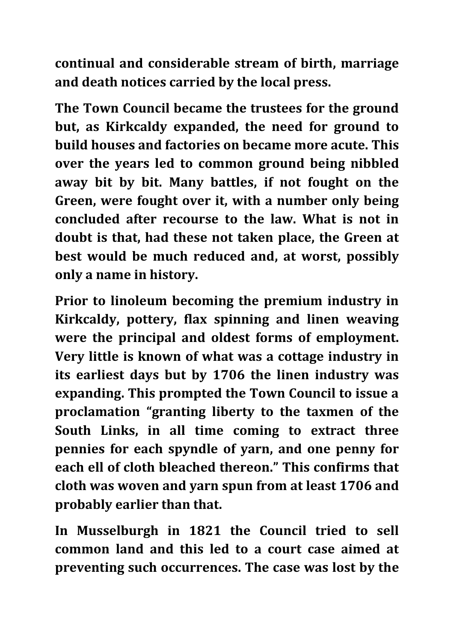**continual and considerable stream of birth, marriage and death notices carried by the local press.**

**The Town Council became the trustees for the ground but, as Kirkcaldy expanded, the need for ground to build houses and factories on became more acute. This over the years led to common ground being nibbled away bit by bit. Many battles, if not fought on the Green, were fought over it, with a number only being concluded after recourse to the law. What is not in doubt is that, had these not taken place, the Green at best would be much reduced and, at worst, possibly only a name in history.**

**Prior to linoleum becoming the premium industry in Kirkcaldy, pottery, flax spinning and linen weaving were the principal and oldest forms of employment. Very little is known of what was a cottage industry in its earliest days but by 1706 the linen industry was expanding. This prompted the Town Council to issue a proclamation "granting liberty to the taxmen of the South Links, in all time coming to extract three pennies for each spyndle of yarn, and one penny for each ell of cloth bleached thereon." This confirms that cloth was woven and yarn spun from at least 1706 and probably earlier than that.**

**In Musselburgh in 1821 the Council tried to sell common land and this led to a court case aimed at preventing such occurrences. The case was lost by the**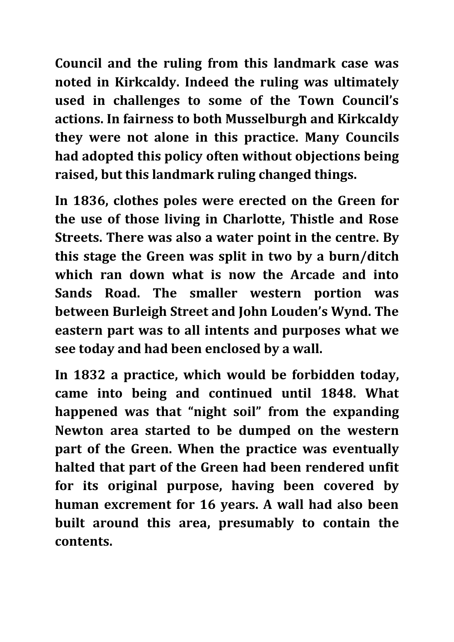**Council and the ruling from this landmark case was noted in Kirkcaldy. Indeed the ruling was ultimately used in challenges to some of the Town Council's actions. In fairness to both Musselburgh and Kirkcaldy they were not alone in this practice. Many Councils had adopted this policy often without objections being raised, but this landmark ruling changed things.**

**In 1836, clothes poles were erected on the Green for the use of those living in Charlotte, Thistle and Rose Streets. There was also a water point in the centre. By this stage the Green was split in two by a burn/ditch which ran down what is now the Arcade and into Sands Road. The smaller western portion was between Burleigh Street and John Louden's Wynd. The eastern part was to all intents and purposes what we see today and had been enclosed by a wall.**

**In 1832 a practice, which would be forbidden today, came into being and continued until 1848. What happened was that "night soil" from the expanding Newton area started to be dumped on the western part of the Green. When the practice was eventually halted that part of the Green had been rendered unfit for its original purpose, having been covered by human excrement for 16 years. A wall had also been built around this area, presumably to contain the contents.**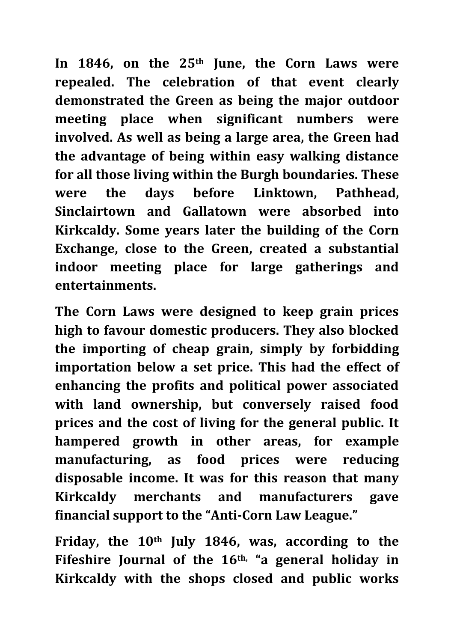In 1846, on the 25<sup>th</sup> June, the Corn Laws were **repealed. The celebration of that event clearly demonstrated the Green as being the major outdoor meeting place when significant numbers were involved. As well as being a large area, the Green had the advantage of being within easy walking distance for all those living within the Burgh boundaries. These were the days before Linktown, Pathhead, Sinclairtown and Gallatown were absorbed into Kirkcaldy. Some years later the building of the Corn Exchange, close to the Green, created a substantial indoor meeting place for large gatherings and entertainments.**

**The Corn Laws were designed to keep grain prices high to favour domestic producers. They also blocked the importing of cheap grain, simply by forbidding importation below a set price. This had the effect of enhancing the profits and political power associated with land ownership, but conversely raised food prices and the cost of living for the general public. It hampered growth in other areas, for example manufacturing, as food prices were reducing disposable income. It was for this reason that many Kirkcaldy merchants and manufacturers gave financial support to the "Anti-Corn Law League."**

**Friday, the 10th July 1846, was, according to the Fifeshire Journal of the 16th, "a general holiday in Kirkcaldy with the shops closed and public works**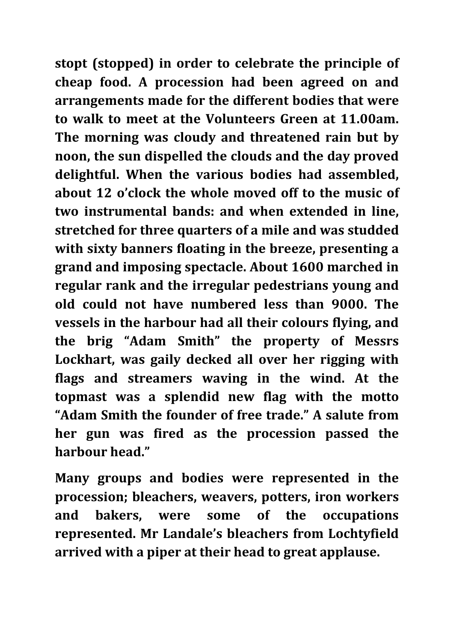**stopt (stopped) in order to celebrate the principle of cheap food. A procession had been agreed on and arrangements made for the different bodies that were to walk to meet at the Volunteers Green at 11.00am. The morning was cloudy and threatened rain but by noon, the sun dispelled the clouds and the day proved delightful. When the various bodies had assembled, about 12 o'clock the whole moved off to the music of two instrumental bands: and when extended in line, stretched for three quarters of a mile and was studded with sixty banners floating in the breeze, presenting a grand and imposing spectacle. About 1600 marched in regular rank and the irregular pedestrians young and old could not have numbered less than 9000. The vessels in the harbour had all their colours flying, and the brig "Adam Smith" the property of Messrs Lockhart, was gaily decked all over her rigging with flags and streamers waving in the wind. At the topmast was a splendid new flag with the motto "Adam Smith the founder of free trade." A salute from her gun was fired as the procession passed the harbour head."**

**Many groups and bodies were represented in the procession; bleachers, weavers, potters, iron workers and bakers, were some of the occupations represented. Mr Landale's bleachers from Lochtyfield arrived with a piper at their head to great applause.**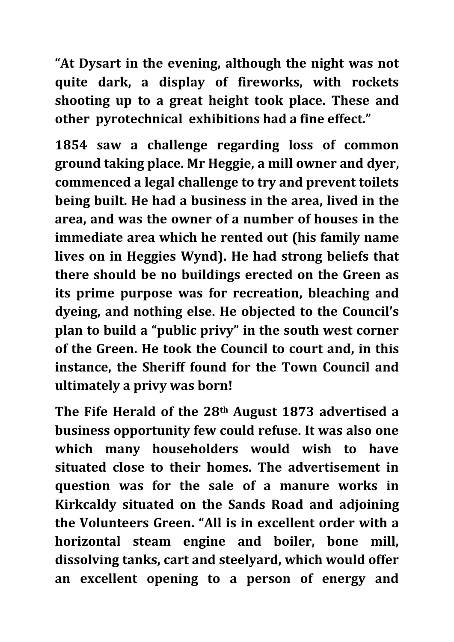**"At Dysart in the evening, although the night was not quite dark, a display of fireworks, with rockets shooting up to a great height took place. These and other pyrotechnical exhibitions had a fine effect."**

**1854 saw a challenge regarding loss of common ground taking place. Mr Heggie, a mill owner and dyer, commenced a legal challenge to try and prevent toilets being built. He had a business in the area, lived in the area, and was the owner of a number of houses in the immediate area which he rented out (his family name lives on in Heggies Wynd). He had strong beliefs that there should be no buildings erected on the Green as its prime purpose was for recreation, bleaching and dyeing, and nothing else. He objected to the Council's plan to build a "public privy" in the south west corner of the Green. He took the Council to court and, in this instance, the Sheriff found for the Town Council and ultimately a privy was born!**

**The Fife Herald of the 28th August 1873 advertised a business opportunity few could refuse. It was also one which many householders would wish to have situated close to their homes. The advertisement in question was for the sale of a manure works in Kirkcaldy situated on the Sands Road and adjoining the Volunteers Green. "All is in excellent order with a horizontal steam engine and boiler, bone mill, dissolving tanks, cart and steelyard, which would offer an excellent opening to a person of energy and**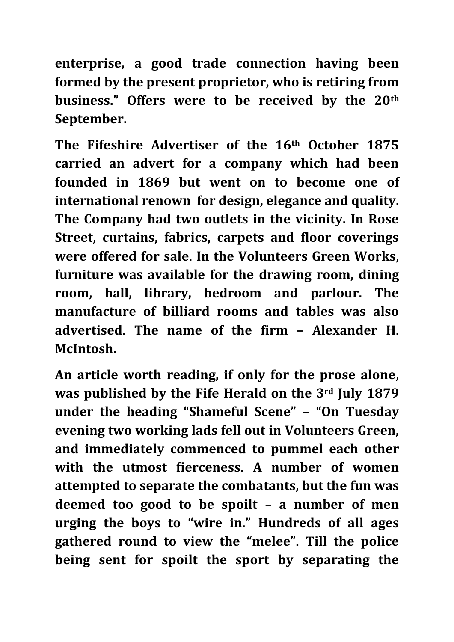**enterprise, a good trade connection having been formed by the present proprietor, who is retiring from business." Offers were to be received by the 20th September.**

**The Fifeshire Advertiser of the 16th October 1875 carried an advert for a company which had been founded in 1869 but went on to become one of international renown for design, elegance and quality. The Company had two outlets in the vicinity. In Rose Street, curtains, fabrics, carpets and floor coverings were offered for sale. In the Volunteers Green Works, furniture was available for the drawing room, dining room, hall, library, bedroom and parlour. The manufacture of billiard rooms and tables was also advertised. The name of the firm – Alexander H. McIntosh.**

**An article worth reading, if only for the prose alone, was published by the Fife Herald on the 3rd July 1879 under the heading "Shameful Scene" – "On Tuesday evening two working lads fell out in Volunteers Green, and immediately commenced to pummel each other with the utmost fierceness. A number of women attempted to separate the combatants, but the fun was deemed too good to be spoilt – a number of men urging the boys to "wire in." Hundreds of all ages gathered round to view the "melee". Till the police being sent for spoilt the sport by separating the**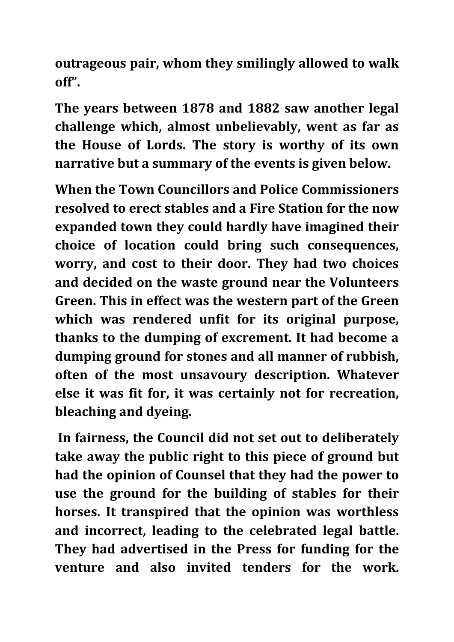**outrageous pair, whom they smilingly allowed to walk off".**

**The years between 1878 and 1882 saw another legal challenge which, almost unbelievably, went as far as the House of Lords. The story is worthy of its own narrative but a summary of the events is given below.**

**When the Town Councillors and Police Commissioners resolved to erect stables and a Fire Station for the now expanded town they could hardly have imagined their choice of location could bring such consequences, worry, and cost to their door. They had two choices and decided on the waste ground near the Volunteers Green. This in effect was the western part of the Green which was rendered unfit for its original purpose, thanks to the dumping of excrement. It had become a dumping ground for stones and all manner of rubbish, often of the most unsavoury description. Whatever else it was fit for, it was certainly not for recreation, bleaching and dyeing.**

**In fairness, the Council did not set out to deliberately take away the public right to this piece of ground but had the opinion of Counsel that they had the power to use the ground for the building of stables for their horses. It transpired that the opinion was worthless and incorrect, leading to the celebrated legal battle. They had advertised in the Press for funding for the venture and also invited tenders for the work.**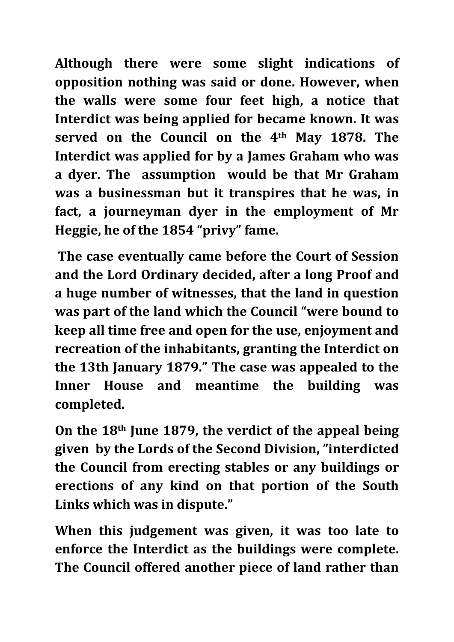**Although there were some slight indications of opposition nothing was said or done. However, when the walls were some four feet high, a notice that Interdict was being applied for became known. It was served on the Council on the 4th May 1878. The Interdict was applied for by a James Graham who was a dyer. The assumption would be that Mr Graham was a businessman but it transpires that he was, in fact, a journeyman dyer in the employment of Mr Heggie, he of the 1854 "privy" fame.**

**The case eventually came before the Court of Session and the Lord Ordinary decided, after a long Proof and a huge number of witnesses, that the land in question was part of the land which the Council "were bound to keep all time free and open for the use, enjoyment and recreation of the inhabitants, granting the Interdict on the 13th January 1879." The case was appealed to the Inner House and meantime the building was completed.** 

**On the 18th June 1879, the verdict of the appeal being given by the Lords of the Second Division, "interdicted the Council from erecting stables or any buildings or erections of any kind on that portion of the South Links which was in dispute."**

**When this judgement was given, it was too late to enforce the Interdict as the buildings were complete. The Council offered another piece of land rather than**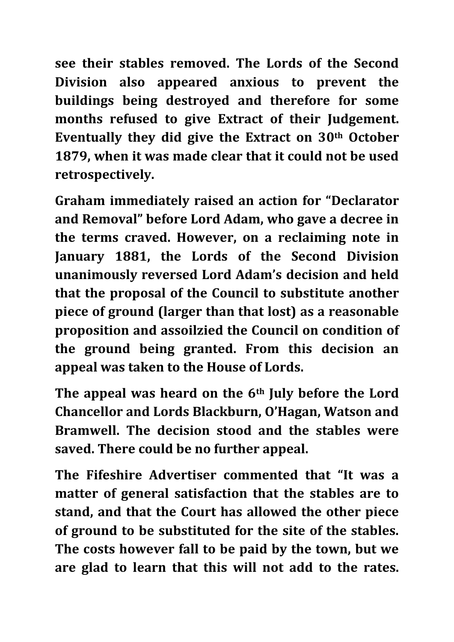**see their stables removed. The Lords of the Second Division also appeared anxious to prevent the buildings being destroyed and therefore for some months refused to give Extract of their Judgement. Eventually they did give the Extract on 30th October 1879, when it was made clear that it could not be used retrospectively.** 

**Graham immediately raised an action for "Declarator and Removal" before Lord Adam, who gave a decree in the terms craved. However, on a reclaiming note in January 1881, the Lords of the Second Division unanimously reversed Lord Adam's decision and held that the proposal of the Council to substitute another piece of ground (larger than that lost) as a reasonable proposition and assoilzied the Council on condition of the ground being granted. From this decision an appeal was taken to the House of Lords.**

**The appeal was heard on the 6th July before the Lord Chancellor and Lords Blackburn, O'Hagan, Watson and Bramwell. The decision stood and the stables were saved. There could be no further appeal.**

**The Fifeshire Advertiser commented that "It was a matter of general satisfaction that the stables are to stand, and that the Court has allowed the other piece of ground to be substituted for the site of the stables. The costs however fall to be paid by the town, but we are glad to learn that this will not add to the rates.**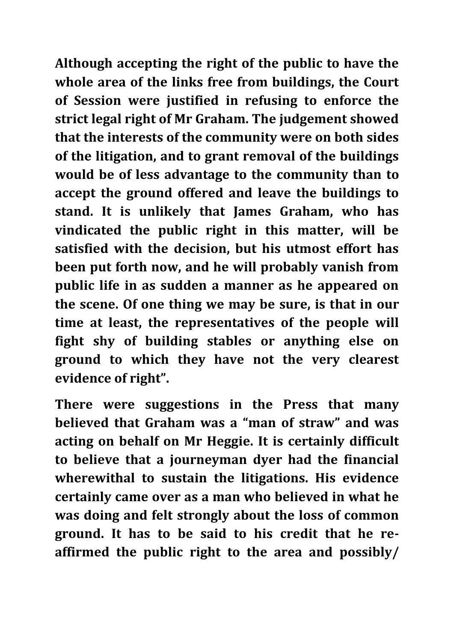**Although accepting the right of the public to have the whole area of the links free from buildings, the Court of Session were justified in refusing to enforce the strict legal right of Mr Graham. The judgement showed that the interests of the community were on both sides of the litigation, and to grant removal of the buildings would be of less advantage to the community than to accept the ground offered and leave the buildings to stand. It is unlikely that James Graham, who has vindicated the public right in this matter, will be satisfied with the decision, but his utmost effort has been put forth now, and he will probably vanish from public life in as sudden a manner as he appeared on the scene. Of one thing we may be sure, is that in our time at least, the representatives of the people will fight shy of building stables or anything else on ground to which they have not the very clearest evidence of right".**

**There were suggestions in the Press that many believed that Graham was a "man of straw" and was acting on behalf on Mr Heggie. It is certainly difficult to believe that a journeyman dyer had the financial wherewithal to sustain the litigations. His evidence certainly came over as a man who believed in what he was doing and felt strongly about the loss of common ground. It has to be said to his credit that he reaffirmed the public right to the area and possibly/**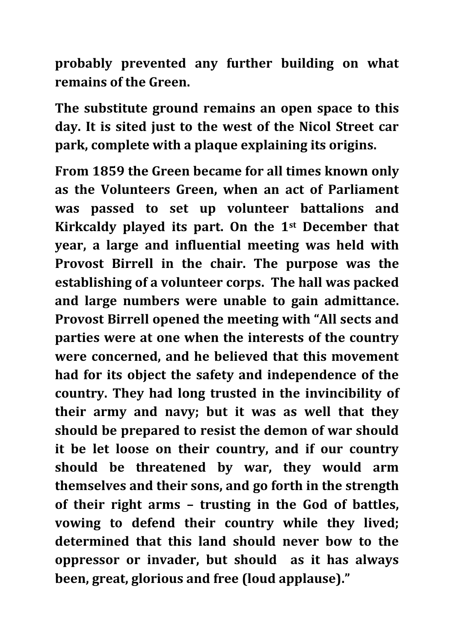**probably prevented any further building on what remains of the Green.**

**The substitute ground remains an open space to this day. It is sited just to the west of the Nicol Street car park, complete with a plaque explaining its origins.**

**From 1859 the Green became for all times known only as the Volunteers Green, when an act of Parliament was passed to set up volunteer battalions and Kirkcaldy played its part. On the 1st December that year, a large and influential meeting was held with Provost Birrell in the chair. The purpose was the establishing of a volunteer corps. The hall was packed and large numbers were unable to gain admittance. Provost Birrell opened the meeting with "All sects and parties were at one when the interests of the country were concerned, and he believed that this movement had for its object the safety and independence of the country. They had long trusted in the invincibility of their army and navy; but it was as well that they should be prepared to resist the demon of war should it be let loose on their country, and if our country should be threatened by war, they would arm themselves and their sons, and go forth in the strength of their right arms – trusting in the God of battles, vowing to defend their country while they lived; determined that this land should never bow to the oppressor or invader, but should as it has always been, great, glorious and free (loud applause)."**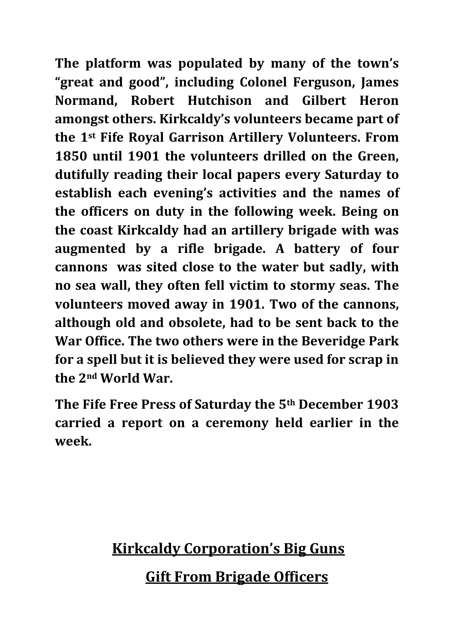**The platform was populated by many of the town's "great and good", including Colonel Ferguson, James Normand, Robert Hutchison and Gilbert Heron amongst others. Kirkcaldy's volunteers became part of the 1st Fife Royal Garrison Artillery Volunteers. From 1850 until 1901 the volunteers drilled on the Green, dutifully reading their local papers every Saturday to establish each evening's activities and the names of the officers on duty in the following week. Being on the coast Kirkcaldy had an artillery brigade with was augmented by a rifle brigade. A battery of four cannons was sited close to the water but sadly, with no sea wall, they often fell victim to stormy seas. The volunteers moved away in 1901. Two of the cannons, although old and obsolete, had to be sent back to the War Office. The two others were in the Beveridge Park for a spell but it is believed they were used for scrap in the 2nd World War.**

**The Fife Free Press of Saturday the 5th December 1903 carried a report on a ceremony held earlier in the week.**

## **Kirkcaldy Corporation's Big Guns Gift From Brigade Officers**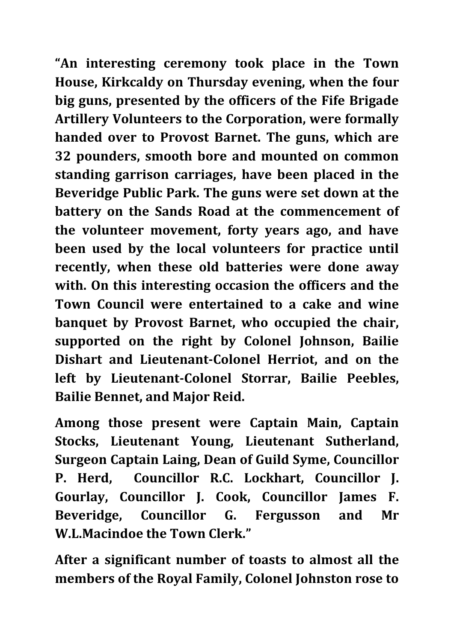**"An interesting ceremony took place in the Town House, Kirkcaldy on Thursday evening, when the four big guns, presented by the officers of the Fife Brigade Artillery Volunteers to the Corporation, were formally handed over to Provost Barnet. The guns, which are 32 pounders, smooth bore and mounted on common standing garrison carriages, have been placed in the Beveridge Public Park. The guns were set down at the battery on the Sands Road at the commencement of the volunteer movement, forty years ago, and have been used by the local volunteers for practice until recently, when these old batteries were done away with. On this interesting occasion the officers and the Town Council were entertained to a cake and wine banquet by Provost Barnet, who occupied the chair, supported on the right by Colonel Johnson, Bailie Dishart and Lieutenant-Colonel Herriot, and on the left by Lieutenant-Colonel Storrar, Bailie Peebles, Bailie Bennet, and Major Reid.** 

**Among those present were Captain Main, Captain Stocks, Lieutenant Young, Lieutenant Sutherland, Surgeon Captain Laing, Dean of Guild Syme, Councillor P. Herd, Councillor R.C. Lockhart, Councillor J. Gourlay, Councillor J. Cook, Councillor James F. Beveridge, Councillor G. Fergusson and Mr W.L.Macindoe the Town Clerk."**

**After a significant number of toasts to almost all the members of the Royal Family, Colonel Johnston rose to**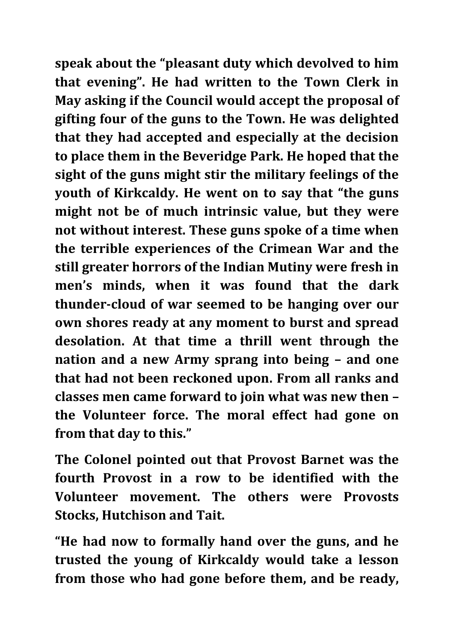**speak about the "pleasant duty which devolved to him that evening". He had written to the Town Clerk in May asking if the Council would accept the proposal of gifting four of the guns to the Town. He was delighted that they had accepted and especially at the decision to place them in the Beveridge Park. He hoped that the sight of the guns might stir the military feelings of the youth of Kirkcaldy. He went on to say that "the guns might not be of much intrinsic value, but they were not without interest. These guns spoke of a time when the terrible experiences of the Crimean War and the still greater horrors of the Indian Mutiny were fresh in men's minds, when it was found that the dark thunder-cloud of war seemed to be hanging over our own shores ready at any moment to burst and spread desolation. At that time a thrill went through the nation and a new Army sprang into being – and one that had not been reckoned upon. From all ranks and classes men came forward to join what was new then – the Volunteer force. The moral effect had gone on from that day to this."**

**The Colonel pointed out that Provost Barnet was the fourth Provost in a row to be identified with the Volunteer movement. The others were Provosts Stocks, Hutchison and Tait.**

**"He had now to formally hand over the guns, and he trusted the young of Kirkcaldy would take a lesson from those who had gone before them, and be ready,**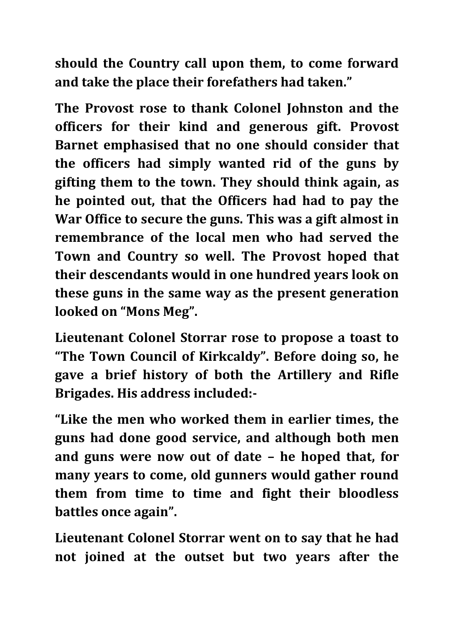**should the Country call upon them, to come forward and take the place their forefathers had taken."**

**The Provost rose to thank Colonel Johnston and the officers for their kind and generous gift. Provost Barnet emphasised that no one should consider that the officers had simply wanted rid of the guns by gifting them to the town. They should think again, as he pointed out, that the Officers had had to pay the War Office to secure the guns. This was a gift almost in remembrance of the local men who had served the Town and Country so well. The Provost hoped that their descendants would in one hundred years look on these guns in the same way as the present generation looked on "Mons Meg".** 

**Lieutenant Colonel Storrar rose to propose a toast to "The Town Council of Kirkcaldy". Before doing so, he gave a brief history of both the Artillery and Rifle Brigades. His address included:-**

**"Like the men who worked them in earlier times, the guns had done good service, and although both men and guns were now out of date – he hoped that, for many years to come, old gunners would gather round them from time to time and fight their bloodless battles once again".**

**Lieutenant Colonel Storrar went on to say that he had not joined at the outset but two years after the**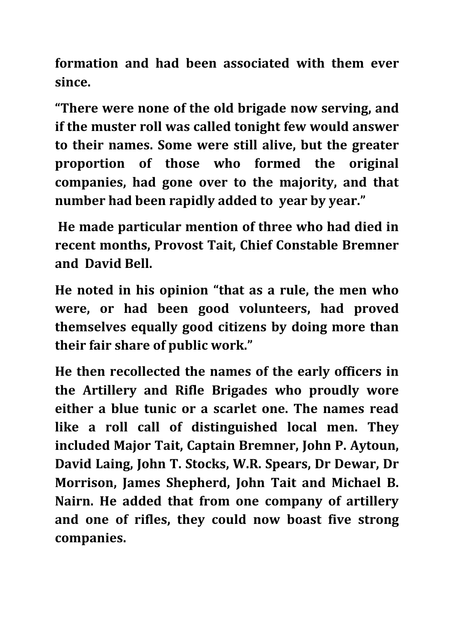**formation and had been associated with them ever since.**

**"There were none of the old brigade now serving, and if the muster roll was called tonight few would answer to their names. Some were still alive, but the greater proportion of those who formed the original companies, had gone over to the majority, and that number had been rapidly added to year by year."**

**He made particular mention of three who had died in recent months, Provost Tait, Chief Constable Bremner and David Bell.**

**He noted in his opinion "that as a rule, the men who were, or had been good volunteers, had proved themselves equally good citizens by doing more than their fair share of public work."**

**He then recollected the names of the early officers in the Artillery and Rifle Brigades who proudly wore either a blue tunic or a scarlet one. The names read like a roll call of distinguished local men. They included Major Tait, Captain Bremner, John P. Aytoun, David Laing, John T. Stocks, W.R. Spears, Dr Dewar, Dr Morrison, James Shepherd, John Tait and Michael B. Nairn. He added that from one company of artillery and one of rifles, they could now boast five strong companies.**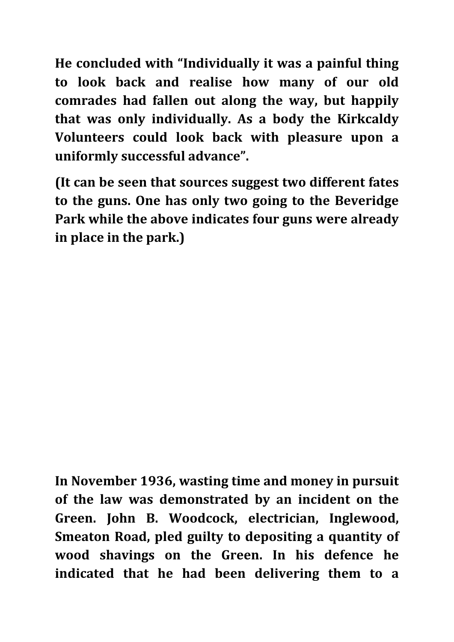**He concluded with "Individually it was a painful thing to look back and realise how many of our old comrades had fallen out along the way, but happily that was only individually. As a body the Kirkcaldy Volunteers could look back with pleasure upon a uniformly successful advance".**

**(It can be seen that sources suggest two different fates to the guns. One has only two going to the Beveridge Park while the above indicates four guns were already in place in the park.)**

**In November 1936, wasting time and money in pursuit of the law was demonstrated by an incident on the Green. John B. Woodcock, electrician, Inglewood, Smeaton Road, pled guilty to depositing a quantity of wood shavings on the Green. In his defence he indicated that he had been delivering them to a**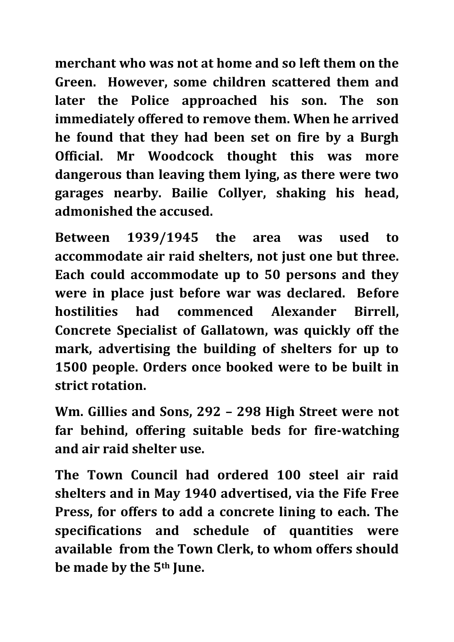**merchant who was not at home and so left them on the Green. However, some children scattered them and later the Police approached his son. The son immediately offered to remove them. When he arrived he found that they had been set on fire by a Burgh Official. Mr Woodcock thought this was more dangerous than leaving them lying, as there were two garages nearby. Bailie Collyer, shaking his head, admonished the accused.**

**Between 1939/1945 the area was used to accommodate air raid shelters, not just one but three. Each could accommodate up to 50 persons and they were in place just before war was declared. Before hostilities had commenced Alexander Birrell, Concrete Specialist of Gallatown, was quickly off the mark, advertising the building of shelters for up to 1500 people. Orders once booked were to be built in strict rotation.**

**Wm. Gillies and Sons, 292 – 298 High Street were not far behind, offering suitable beds for fire-watching and air raid shelter use.** 

**The Town Council had ordered 100 steel air raid shelters and in May 1940 advertised, via the Fife Free Press, for offers to add a concrete lining to each. The specifications and schedule of quantities were available from the Town Clerk, to whom offers should be made by the 5th June.**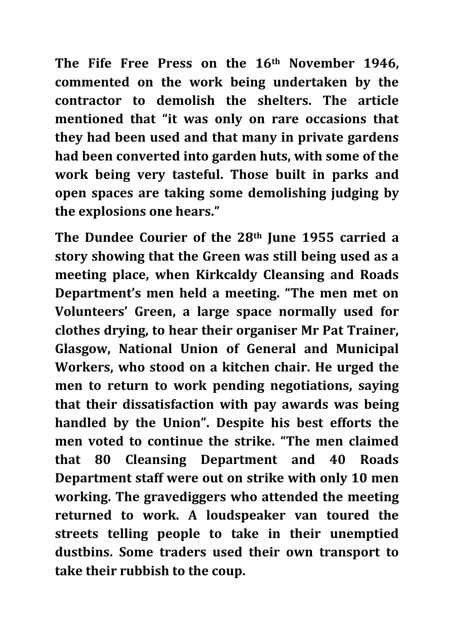**The Fife Free Press on the 16th November 1946, commented on the work being undertaken by the contractor to demolish the shelters. The article mentioned that "it was only on rare occasions that they had been used and that many in private gardens had been converted into garden huts, with some of the work being very tasteful. Those built in parks and open spaces are taking some demolishing judging by the explosions one hears."**

**The Dundee Courier of the 28th June 1955 carried a story showing that the Green was still being used as a meeting place, when Kirkcaldy Cleansing and Roads Department's men held a meeting. "The men met on Volunteers' Green, a large space normally used for clothes drying, to hear their organiser Mr Pat Trainer, Glasgow, National Union of General and Municipal Workers, who stood on a kitchen chair. He urged the men to return to work pending negotiations, saying that their dissatisfaction with pay awards was being handled by the Union". Despite his best efforts the men voted to continue the strike. "The men claimed that 80 Cleansing Department and 40 Roads Department staff were out on strike with only 10 men working. The gravediggers who attended the meeting returned to work. A loudspeaker van toured the streets telling people to take in their unemptied dustbins. Some traders used their own transport to take their rubbish to the coup.**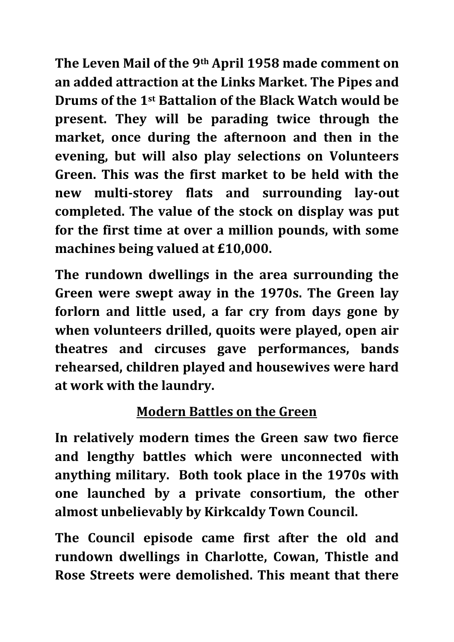**The Leven Mail of the 9th April 1958 made comment on an added attraction at the Links Market. The Pipes and Drums of the 1st Battalion of the Black Watch would be present. They will be parading twice through the market, once during the afternoon and then in the evening, but will also play selections on Volunteers Green. This was the first market to be held with the new multi-storey flats and surrounding lay-out completed. The value of the stock on display was put for the first time at over a million pounds, with some machines being valued at £10,000.**

**The rundown dwellings in the area surrounding the Green were swept away in the 1970s. The Green lay forlorn and little used, a far cry from days gone by when volunteers drilled, quoits were played, open air theatres and circuses gave performances, bands rehearsed, children played and housewives were hard at work with the laundry.**

### **Modern Battles on the Green**

**In relatively modern times the Green saw two fierce and lengthy battles which were unconnected with anything military. Both took place in the 1970s with one launched by a private consortium, the other almost unbelievably by Kirkcaldy Town Council.**

**The Council episode came first after the old and rundown dwellings in Charlotte, Cowan, Thistle and Rose Streets were demolished. This meant that there**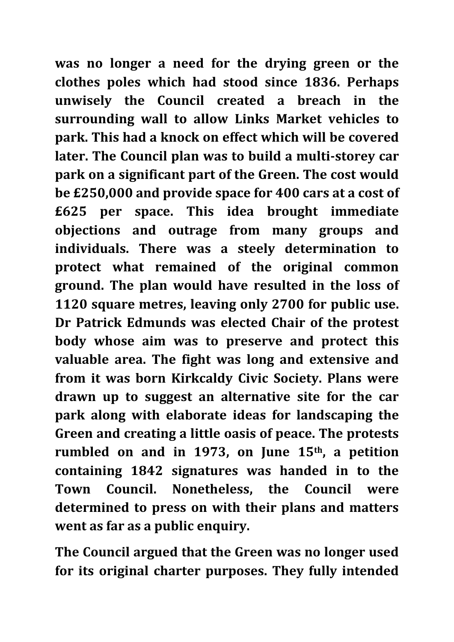**was no longer a need for the drying green or the clothes poles which had stood since 1836. Perhaps unwisely the Council created a breach in the surrounding wall to allow Links Market vehicles to park. This had a knock on effect which will be covered later. The Council plan was to build a multi-storey car park on a significant part of the Green. The cost would be £250,000 and provide space for 400 cars at a cost of £625 per space. This idea brought immediate objections and outrage from many groups and individuals. There was a steely determination to protect what remained of the original common ground. The plan would have resulted in the loss of 1120 square metres, leaving only 2700 for public use. Dr Patrick Edmunds was elected Chair of the protest body whose aim was to preserve and protect this valuable area. The fight was long and extensive and from it was born Kirkcaldy Civic Society. Plans were drawn up to suggest an alternative site for the car park along with elaborate ideas for landscaping the Green and creating a little oasis of peace. The protests rumbled on and in 1973, on June 15th, a petition containing 1842 signatures was handed in to the Town Council. Nonetheless, the Council were determined to press on with their plans and matters went as far as a public enquiry.**

**The Council argued that the Green was no longer used for its original charter purposes. They fully intended**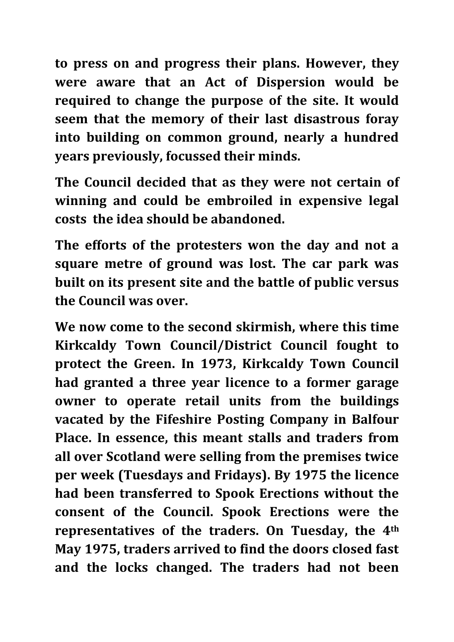**to press on and progress their plans. However, they were aware that an Act of Dispersion would be required to change the purpose of the site. It would seem that the memory of their last disastrous foray into building on common ground, nearly a hundred years previously, focussed their minds.** 

**The Council decided that as they were not certain of winning and could be embroiled in expensive legal costs the idea should be abandoned.**

**The efforts of the protesters won the day and not a square metre of ground was lost. The car park was built on its present site and the battle of public versus the Council was over.**

**We now come to the second skirmish, where this time Kirkcaldy Town Council/District Council fought to protect the Green. In 1973, Kirkcaldy Town Council had granted a three year licence to a former garage owner to operate retail units from the buildings vacated by the Fifeshire Posting Company in Balfour Place. In essence, this meant stalls and traders from all over Scotland were selling from the premises twice per week (Tuesdays and Fridays). By 1975 the licence had been transferred to Spook Erections without the consent of the Council. Spook Erections were the representatives of the traders. On Tuesday, the 4th May 1975, traders arrived to find the doors closed fast and the locks changed. The traders had not been**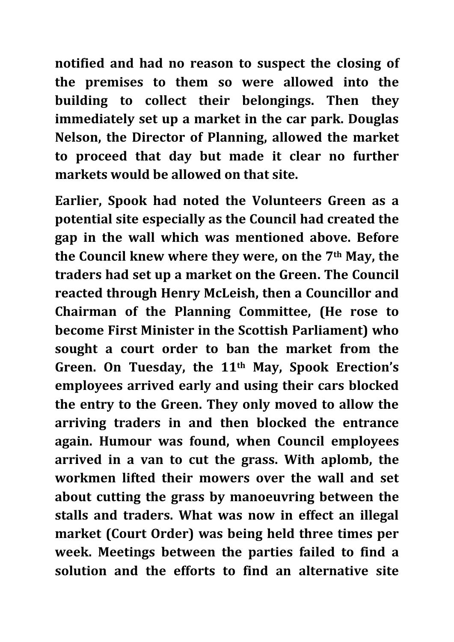**notified and had no reason to suspect the closing of the premises to them so were allowed into the building to collect their belongings. Then they immediately set up a market in the car park. Douglas Nelson, the Director of Planning, allowed the market to proceed that day but made it clear no further markets would be allowed on that site.**

**Earlier, Spook had noted the Volunteers Green as a potential site especially as the Council had created the gap in the wall which was mentioned above. Before the Council knew where they were, on the 7th May, the traders had set up a market on the Green. The Council reacted through Henry McLeish, then a Councillor and Chairman of the Planning Committee, (He rose to become First Minister in the Scottish Parliament) who sought a court order to ban the market from the Green. On Tuesday, the 11th May, Spook Erection's employees arrived early and using their cars blocked the entry to the Green. They only moved to allow the arriving traders in and then blocked the entrance again. Humour was found, when Council employees arrived in a van to cut the grass. With aplomb, the workmen lifted their mowers over the wall and set about cutting the grass by manoeuvring between the stalls and traders. What was now in effect an illegal market (Court Order) was being held three times per week. Meetings between the parties failed to find a solution and the efforts to find an alternative site**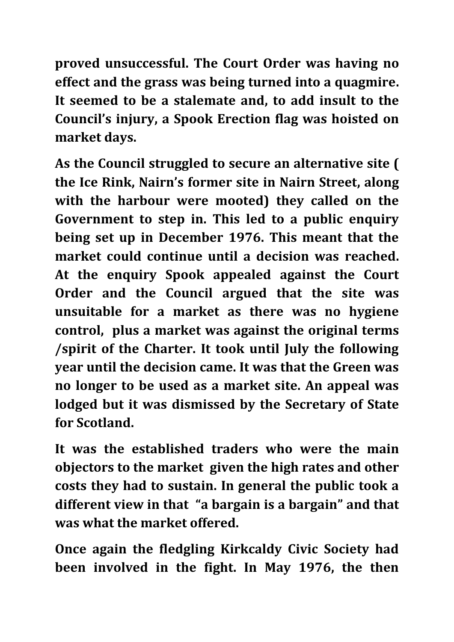**proved unsuccessful. The Court Order was having no effect and the grass was being turned into a quagmire. It seemed to be a stalemate and, to add insult to the Council's injury, a Spook Erection flag was hoisted on market days.** 

**As the Council struggled to secure an alternative site ( the Ice Rink, Nairn's former site in Nairn Street, along with the harbour were mooted) they called on the Government to step in. This led to a public enquiry being set up in December 1976. This meant that the market could continue until a decision was reached. At the enquiry Spook appealed against the Court Order and the Council argued that the site was unsuitable for a market as there was no hygiene control, plus a market was against the original terms /spirit of the Charter. It took until July the following year until the decision came. It was that the Green was no longer to be used as a market site. An appeal was lodged but it was dismissed by the Secretary of State for Scotland.**

**It was the established traders who were the main objectors to the market given the high rates and other costs they had to sustain. In general the public took a different view in that "a bargain is a bargain" and that was what the market offered.**

**Once again the fledgling Kirkcaldy Civic Society had been involved in the fight. In May 1976, the then**